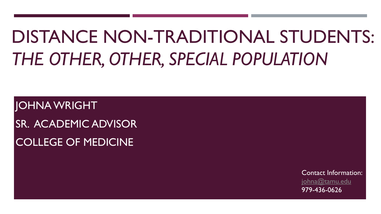# DISTANCE NON-TRADITIONAL STUDENTS: *THE OTHER, OTHER, SPECIAL POPULATION*

JOHNA WRIGHT SR. ACADEMIC ADVISOR COLLEGE OF MEDICINE

> Contact Information: [johna@tamu.edu](mailto:johna@tamu.edu) 979-436-0626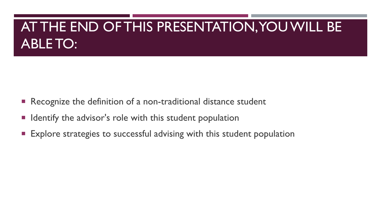## AT THE END OF THIS PRESENTATION, YOU WILL BE ABLE TO:

- Recognize the definition of a non-traditional distance student
- Identify the advisor's role with this student population
- **Explore strategies to successful advising with this student population**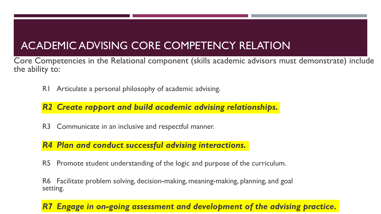### ACADEMIC ADVISING CORE COMPETENCY RELATION

Core Competencies in the Relational component (skills academic advisors must demonstrate) include the ability to:

R1 Articulate a personal philosophy of academic advising.

#### *R2 Create rapport and build academic advising relationships.*

R3 Communicate in an inclusive and respectful manner.

#### *R4 Plan and conduct successful advising interactions.*

R5 Promote student understanding of the logic and purpose of the curriculum.

R6 Facilitate problem solving, decision-making, meaning-making, planning, and goal setting.

#### *Engage in on-going assessment and development of the advising practice.*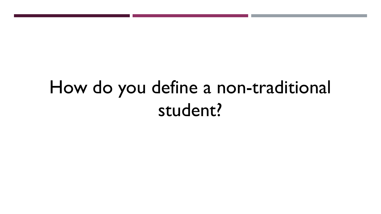## How do you define a non-traditional student?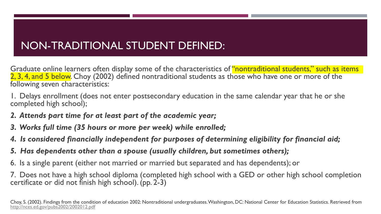### NON-TRADITIONAL STUDENT DEFINED:

Graduate online learners often display some of the characteristics of "nontraditional students," such as items 2, 3, 4, and 5 below. Choy (2002) defined nontraditional students as those who have one or more of the following seven characteristics:

1. Delays enrollment (does not enter postsecondary education in the same calendar year that he or she completed high school);

- *2. Attends part time for at least part of the academic year;*
- *3. Works full time (35 hours or more per week) while enrolled;*
- *4. Is considered financially independent for purposes of determining eligibility for financial aid;*
- *5. Has dependents other than a spouse (usually children, but sometimes others);*
- 6. Is a single parent (either not married or married but separated and has dependents); or

7. Does not have a high school diploma (completed high school with a GED or other high school completion certificate or did not finish high school). (pp. 2-3)

Choy, S. (2002). Findings from the condition of education 2002: Nontraditional undergraduates. Washington, DC: National Center for Education Statistics. Retrieved from <http://nces.ed.gov/pubs2002/2002012.pdf>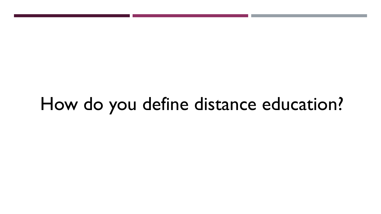## How do you define distance education?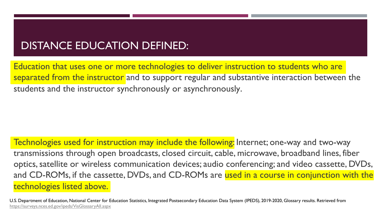### DISTANCE EDUCATION DEFINED:

Education that uses one or more technologies to deliver instruction to students who are separated from the instructor and to support regular and substantive interaction between the students and the instructor synchronously or asynchronously.

Technologies used for instruction may include the following: Internet; one-way and two-way transmissions through open broadcasts, closed circuit, cable, microwave, broadband lines, fiber optics, satellite or wireless communication devices; audio conferencing; and video cassette, DVDs, and CD-ROMs, if the cassette, DVDs, and CD-ROMs are used in a course in conjunction with the technologies listed above.

U.S. Department of Education, National Center for Education Statistics, Integrated Postsecondary Education Data System (IPEDS), 2019-2020, Glossary results. Retrieved from <https://surveys.nces.ed.gov/ipeds/VisGlossaryAll.aspx>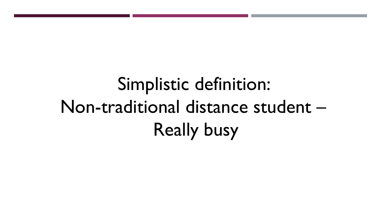Simplistic definition: Non-traditional distance student – Really busy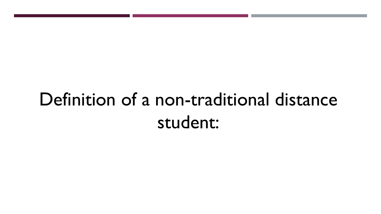## Definition of a non-traditional distance student: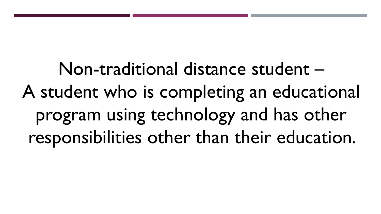Non-traditional distance student – A student who is completing an educational program using technology and has other responsibilities other than their education.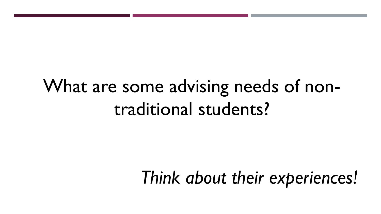## What are some advising needs of nontraditional students?

## *Think about their experiences!*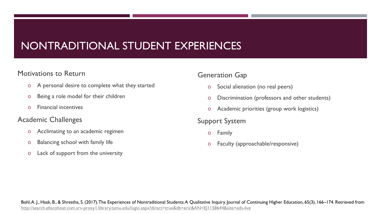### NONTRADITIONAL STUDENT EXPERIENCES

#### Motivations to Return

- o A personal desire to complete what they started
- o Being a role model for their children
- o Financial incentives

#### Academic Challenges

- o Acclimating to an academic regimen
- o Balancing school with family life
- o Lack of support from the university

#### Generation Gap

- o Social alienation (no real peers)
- o Discrimination (professors and other students)
- o Academic priorities (group work logistics)

#### Support System

- o Family
- o Faculty (approachable/responsive)

Bohl, A. J., Haak, B., & Shrestha, S. (2017). The Experiences of Nontraditional Students: A Qualitative Inquiry. Journal of Continuing Higher Education, 65(3), 166-174. Retrieved from <http://search.ebscohost.com.srv-proxy1.library.tamu.edu/login.aspx?direct=true&db=eric&AN=EJ1158644&site=eds-live>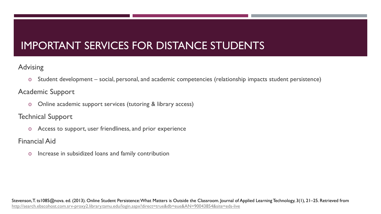### IMPORTANT SERVICES FOR DISTANCE STUDENTS

#### Advising

o Student development – social, personal, and academic competencies (relationship impacts student persistence)

#### Academic Support

o Online academic support services (tutoring & library access)

#### Technical Support

o Access to support, user friendliness, and prior experience

Financial Aid

o Increase in subsidized loans and family contribution

Stevenson, T. ts1085@nova. ed. (2013). Online Student Persistence: What Matters is Outside the Classroom. Journal of Applied Learning Technology, 3(1), 21–25. Retrieved from <http://search.ebscohost.com.srv-proxy2.library.tamu.edu/login.aspx?direct=true&db=eue&AN=90043854&site=eds-live>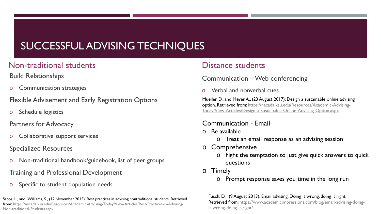### SUCCESSFUL ADVISING TECHNIQUES

#### Non-traditional students

Build Relationships

**Communication strategies** 

Flexible Advisement and Early Registration Options

Schedule logistics

Partners for Advocacy

Collaborative support services

#### Specialized Resources

Non-traditional handbook/guidebook, list of peer groups

#### Training and Professional Development

Specific to student population needs

Sapps, L., and Williams, S., (12 November 2015). Best practices in advising nontraditional students. Retrieved [from: https://nacada.ksu.edu/Resources/Academic-Advising-Today/View-Articles/Best-Practices-in-Advising-](https://nacada.ksu.edu/Resources/Academic-Advising-Today/View-Articles/Best-Practices-in-Advising-Non-traditional-Students.aspx)Non-traditional-Students.aspx

#### Distance students

#### Communication –Web conferencing

Verbal and nonverbal cues

Mueller, D., and Meyer, A., (23 August 2017). Design a sustainable online advising option. Retrieved from: https://nacada.ksu.edu/Resources/Academic-Advising-[Today/View-Articles/Design-a-Sustainable-Online-Advising-Option.aspx](https://nacada.ksu.edu/Resources/Academic-Advising-Today/View-Articles/Design-a-Sustainable-Online-Advising-Option.aspx)

#### Communication - Email

- o Be available
	- o Treat an email response as an advising session
- o Comprehensive
	- o Fight the temptation to just give quick answers to quick questions
- o Timely
	- o Prompt response saves you time in the long run

Fusch, D., (9 August 2013). Email advising: Doing it wrong, doing it right. [Retrieved from: https://www.academicimpressions.com/blog/email-advising-doing](https://www.academicimpressions.com/blog/email-advising-doing-it-wrong-doing-it-right/)it-wrong-doing-it-right/